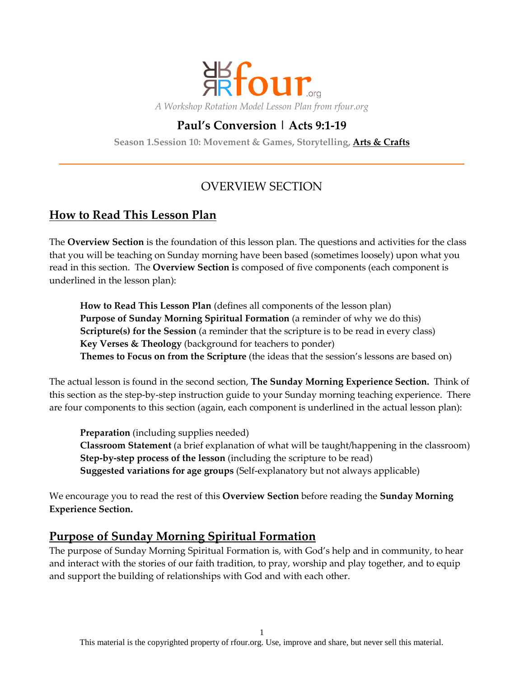

# **Paul's Conversion | Acts 9:1-19**

**Season 1.Session 10: Movement & Games, Storytelling, Arts & Crafts**

# OVERVIEW SECTION

## **How to Read This Lesson Plan**

The **Overview Section** is the foundation of this lesson plan. The questions and activities for the class that you will be teaching on Sunday morning have been based (sometimes loosely) upon what you read in this section. The **Overview Section i**s composed of five components (each component is underlined in the lesson plan):

**How to Read This Lesson Plan** (defines all components of the lesson plan) **Purpose of Sunday Morning Spiritual Formation** (a reminder of why we do this) **Scripture(s) for the Session** (a reminder that the scripture is to be read in every class) **Key Verses & Theology** (background for teachers to ponder) **Themes to Focus on from the Scripture** (the ideas that the session's lessons are based on)

The actual lesson is found in the second section, **The Sunday Morning Experience Section.** Think of this section as the step-by-step instruction guide to your Sunday morning teaching experience. There are four components to this section (again, each component is underlined in the actual lesson plan):

**Preparation** (including supplies needed) **Classroom Statement** (a brief explanation of what will be taught/happening in the classroom) **Step-by-step process of the lesson** (including the scripture to be read) **Suggested variations for age groups** (Self-explanatory but not always applicable)

We encourage you to read the rest of this **Overview Section** before reading the **Sunday Morning Experience Section.**

## **Purpose of Sunday Morning Spiritual Formation**

The purpose of Sunday Morning Spiritual Formation is, with God's help and in community, to hear and interact with the stories of our faith tradition, to pray, worship and play together, and to equip and support the building of relationships with God and with each other.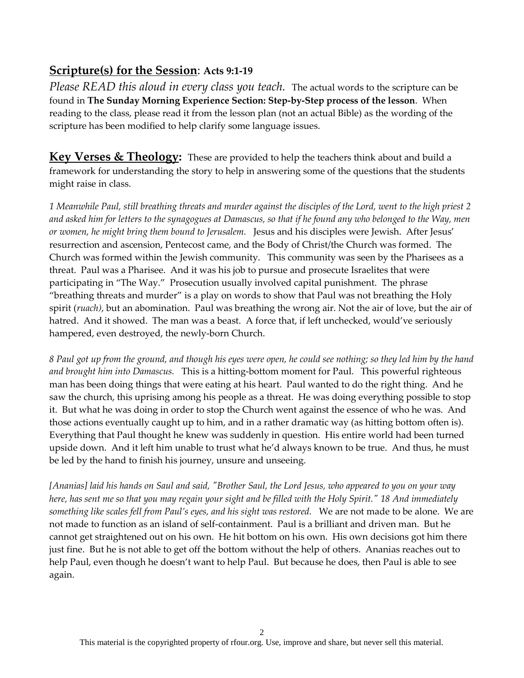## **Scripture(s) for the Session**: **Acts 9:1-19**

*Please READ this aloud in every class you teach.* The actual words to the scripture can be found in **The Sunday Morning Experience Section: Step-by-Step process of the lesson**. When reading to the class, please read it from the lesson plan (not an actual Bible) as the wording of the scripture has been modified to help clarify some language issues.

**Key Verses & Theology:** These are provided to help the teachers think about and build a framework for understanding the story to help in answering some of the questions that the students might raise in class.

*1 Meanwhile Paul, still breathing threats and murder against the disciples of the Lord, went to the high priest 2 and asked him for letters to the synagogues at Damascus, so that if he found any who belonged to the Way, men or women, he might bring them bound to Jerusalem.* Jesus and his disciples were Jewish. After Jesus' resurrection and ascension, Pentecost came, and the Body of Christ/the Church was formed. The Church was formed within the Jewish community. This community was seen by the Pharisees as a threat. Paul was a Pharisee. And it was his job to pursue and prosecute Israelites that were participating in "The Way." Prosecution usually involved capital punishment. The phrase "breathing threats and murder" is a play on words to show that Paul was not breathing the Holy spirit (*ruach)*, but an abomination. Paul was breathing the wrong air. Not the air of love, but the air of hatred. And it showed. The man was a beast. A force that, if left unchecked, would've seriously hampered, even destroyed, the newly-born Church.

*8 Paul got up from the ground, and though his eyes were open, he could see nothing; so they led him by the hand and brought him into Damascus.* This is a hitting-bottom moment for Paul. This powerful righteous man has been doing things that were eating at his heart. Paul wanted to do the right thing. And he saw the church, this uprising among his people as a threat. He was doing everything possible to stop it. But what he was doing in order to stop the Church went against the essence of who he was. And those actions eventually caught up to him, and in a rather dramatic way (as hitting bottom often is). Everything that Paul thought he knew was suddenly in question. His entire world had been turned upside down. And it left him unable to trust what he'd always known to be true. And thus, he must be led by the hand to finish his journey, unsure and unseeing.

*[Ananias] laid his hands on Saul and said, "Brother Saul, the Lord Jesus, who appeared to you on your way here, has sent me so that you may regain your sight and be filled with the Holy Spirit." 18 And immediately something like scales fell from Paul's eyes, and his sight was restored.* We are not made to be alone. We are not made to function as an island of self-containment. Paul is a brilliant and driven man. But he cannot get straightened out on his own. He hit bottom on his own. His own decisions got him there just fine. But he is not able to get off the bottom without the help of others. Ananias reaches out to help Paul, even though he doesn't want to help Paul. But because he does, then Paul is able to see again.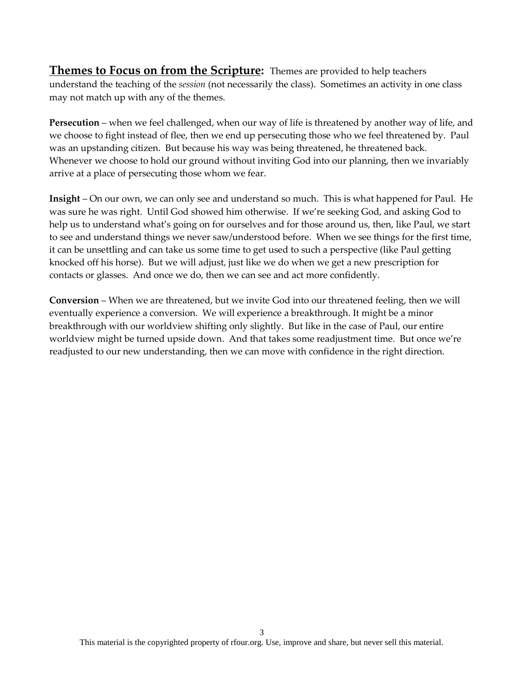**Themes to Focus on from the Scripture:** Themes are provided to help teachers understand the teaching of the *session* (not necessarily the class). Sometimes an activity in one class may not match up with any of the themes.

**Persecution** – when we feel challenged, when our way of life is threatened by another way of life, and we choose to fight instead of flee, then we end up persecuting those who we feel threatened by. Paul was an upstanding citizen. But because his way was being threatened, he threatened back. Whenever we choose to hold our ground without inviting God into our planning, then we invariably arrive at a place of persecuting those whom we fear.

**Insight** – On our own, we can only see and understand so much. This is what happened for Paul. He was sure he was right. Until God showed him otherwise. If we're seeking God, and asking God to help us to understand what's going on for ourselves and for those around us, then, like Paul, we start to see and understand things we never saw/understood before. When we see things for the first time, it can be unsettling and can take us some time to get used to such a perspective (like Paul getting knocked off his horse). But we will adjust, just like we do when we get a new prescription for contacts or glasses. And once we do, then we can see and act more confidently.

**Conversion** – When we are threatened, but we invite God into our threatened feeling, then we will eventually experience a conversion. We will experience a breakthrough. It might be a minor breakthrough with our worldview shifting only slightly. But like in the case of Paul, our entire worldview might be turned upside down. And that takes some readjustment time. But once we're readjusted to our new understanding, then we can move with confidence in the right direction.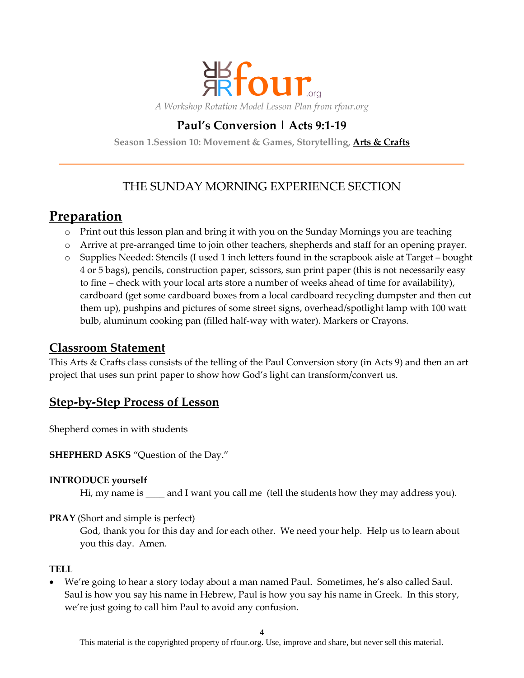

# **Paul's Conversion | Acts 9:1-19**

**Season 1.Session 10: Movement & Games, Storytelling, Arts & Crafts**

# THE SUNDAY MORNING EXPERIENCE SECTION

# **Preparation**

- o Print out this lesson plan and bring it with you on the Sunday Mornings you are teaching
- o Arrive at pre-arranged time to join other teachers, shepherds and staff for an opening prayer.
- o Supplies Needed: Stencils (I used 1 inch letters found in the scrapbook aisle at Target bought 4 or 5 bags), pencils, construction paper, scissors, sun print paper (this is not necessarily easy to fine – check with your local arts store a number of weeks ahead of time for availability), cardboard (get some cardboard boxes from a local cardboard recycling dumpster and then cut them up), pushpins and pictures of some street signs, overhead/spotlight lamp with 100 watt bulb, aluminum cooking pan (filled half-way with water). Markers or Crayons.

## **Classroom Statement**

This Arts & Crafts class consists of the telling of the Paul Conversion story (in Acts 9) and then an art project that uses sun print paper to show how God's light can transform/convert us.

## **Step-by-Step Process of Lesson**

Shepherd comes in with students

**SHEPHERD ASKS** "Question of the Day."

#### **INTRODUCE yourself**

Hi, my name is \_\_\_\_ and I want you call me (tell the students how they may address you).

## **PRAY** (Short and simple is perfect)

God, thank you for this day and for each other. We need your help. Help us to learn about you this day. Amen.

#### **TELL**

 We're going to hear a story today about a man named Paul. Sometimes, he's also called Saul. Saul is how you say his name in Hebrew, Paul is how you say his name in Greek. In this story, we're just going to call him Paul to avoid any confusion.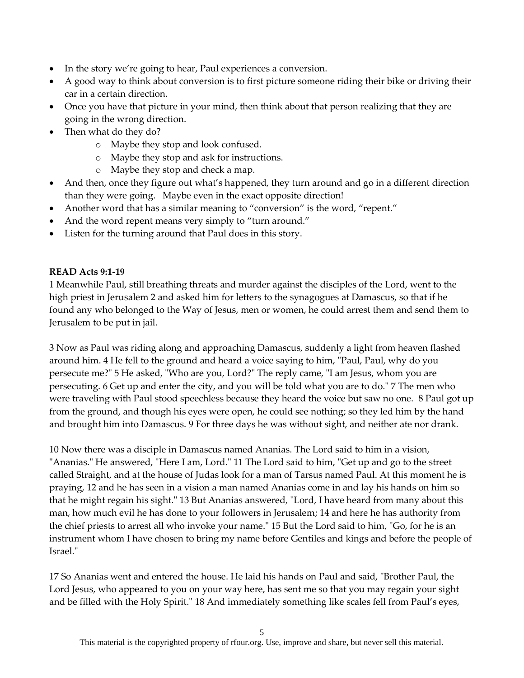- In the story we're going to hear, Paul experiences a conversion.
- A good way to think about conversion is to first picture someone riding their bike or driving their car in a certain direction.
- Once you have that picture in your mind, then think about that person realizing that they are going in the wrong direction.
- Then what do they do?
	- o Maybe they stop and look confused.
	- o Maybe they stop and ask for instructions.
	- o Maybe they stop and check a map.
- And then, once they figure out what's happened, they turn around and go in a different direction than they were going. Maybe even in the exact opposite direction!
- Another word that has a similar meaning to "conversion" is the word, "repent."
- And the word repent means very simply to "turn around."
- Listen for the turning around that Paul does in this story.

#### **READ Acts 9:1-19**

1 Meanwhile Paul, still breathing threats and murder against the disciples of the Lord, went to the high priest in Jerusalem 2 and asked him for letters to the synagogues at Damascus, so that if he found any who belonged to the Way of Jesus, men or women, he could arrest them and send them to Jerusalem to be put in jail.

3 Now as Paul was riding along and approaching Damascus, suddenly a light from heaven flashed around him. 4 He fell to the ground and heard a voice saying to him, "Paul, Paul, why do you persecute me?" 5 He asked, "Who are you, Lord?" The reply came, "I am Jesus, whom you are persecuting. 6 Get up and enter the city, and you will be told what you are to do." 7 The men who were traveling with Paul stood speechless because they heard the voice but saw no one. 8 Paul got up from the ground, and though his eyes were open, he could see nothing; so they led him by the hand and brought him into Damascus. 9 For three days he was without sight, and neither ate nor drank.

10 Now there was a disciple in Damascus named Ananias. The Lord said to him in a vision, "Ananias." He answered, "Here I am, Lord." 11 The Lord said to him, "Get up and go to the street called Straight, and at the house of Judas look for a man of Tarsus named Paul. At this moment he is praying, 12 and he has seen in a vision a man named Ananias come in and lay his hands on him so that he might regain his sight." 13 But Ananias answered, "Lord, I have heard from many about this man, how much evil he has done to your followers in Jerusalem; 14 and here he has authority from the chief priests to arrest all who invoke your name." 15 But the Lord said to him, "Go, for he is an instrument whom I have chosen to bring my name before Gentiles and kings and before the people of Israel."

17 So Ananias went and entered the house. He laid his hands on Paul and said, "Brother Paul, the Lord Jesus, who appeared to you on your way here, has sent me so that you may regain your sight and be filled with the Holy Spirit." 18 And immediately something like scales fell from Paul's eyes,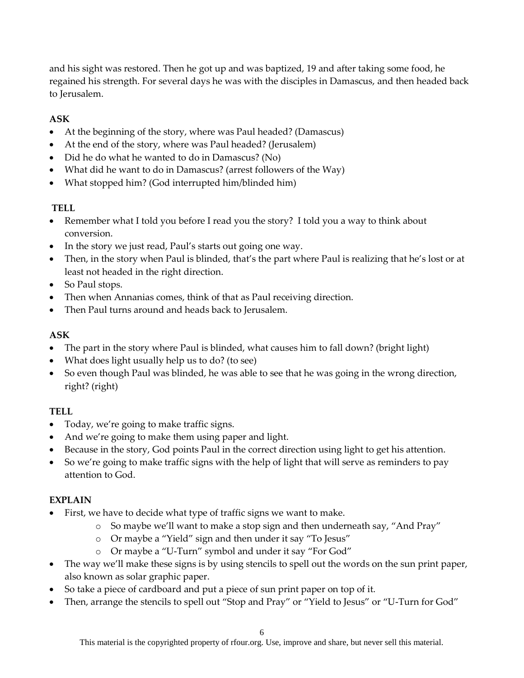and his sight was restored. Then he got up and was baptized, 19 and after taking some food, he regained his strength. For several days he was with the disciples in Damascus, and then headed back to Jerusalem.

## **ASK**

- At the beginning of the story, where was Paul headed? (Damascus)
- At the end of the story, where was Paul headed? (Jerusalem)
- Did he do what he wanted to do in Damascus? (No)
- What did he want to do in Damascus? (arrest followers of the Way)
- What stopped him? (God interrupted him/blinded him)

### **TELL**

- Remember what I told you before I read you the story? I told you a way to think about conversion.
- In the story we just read, Paul's starts out going one way.
- Then, in the story when Paul is blinded, that's the part where Paul is realizing that he's lost or at least not headed in the right direction.
- So Paul stops.
- Then when Annanias comes, think of that as Paul receiving direction.
- Then Paul turns around and heads back to Jerusalem.

## **ASK**

- The part in the story where Paul is blinded, what causes him to fall down? (bright light)
- What does light usually help us to do? (to see)
- So even though Paul was blinded, he was able to see that he was going in the wrong direction, right? (right)

## **TELL**

- Today, we're going to make traffic signs.
- And we're going to make them using paper and light.
- Because in the story, God points Paul in the correct direction using light to get his attention.
- So we're going to make traffic signs with the help of light that will serve as reminders to pay attention to God.

#### **EXPLAIN**

- First, we have to decide what type of traffic signs we want to make.
	- o So maybe we'll want to make a stop sign and then underneath say, "And Pray"
	- o Or maybe a "Yield" sign and then under it say "To Jesus"
	- o Or maybe a "U-Turn" symbol and under it say "For God"
- The way we'll make these signs is by using stencils to spell out the words on the sun print paper, also known as solar graphic paper.
- So take a piece of cardboard and put a piece of sun print paper on top of it.
- Then, arrange the stencils to spell out "Stop and Pray" or "Yield to Jesus" or "U-Turn for God"